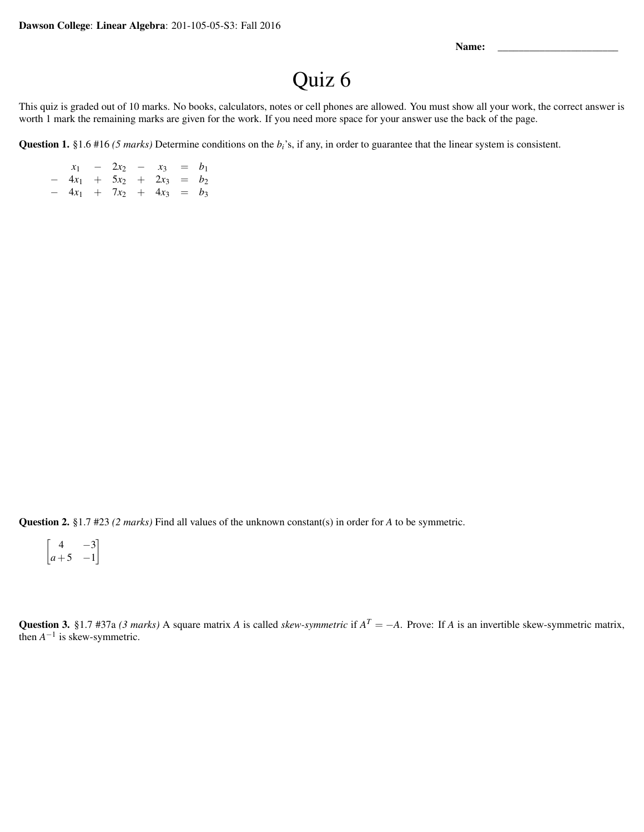Name:

## Quiz 6

This quiz is graded out of 10 marks. No books, calculators, notes or cell phones are allowed. You must show all your work, the correct answer is worth 1 mark the remaining marks are given for the work. If you need more space for your answer use the back of the page.

Question 1. §1.6 #16 *(5 marks)* Determine conditions on the *bi*'s, if any, in order to guarantee that the linear system is consistent.

| $x_1 - 2x_2 - x_3 = b_1$    |  |  |  |
|-----------------------------|--|--|--|
| $-4x_1 + 5x_2 + 2x_3 = b_2$ |  |  |  |
| $-4x_1 + 7x_2 + 4x_3 = b_3$ |  |  |  |

Question 2. §1.7 #23 *(2 marks)* Find all values of the unknown constant(s) in order for *A* to be symmetric.

 $\begin{bmatrix} 4 & -3 \end{bmatrix}$  $a+5$  −1 1

Question 3. §1.7 #37a *(3 marks)* A square matrix *A* is called *skew-symmetric* if  $A<sup>T</sup> = -A$ . Prove: If *A* is an invertible skew-symmetric matrix, then  $A^{-1}$  is skew-symmetric.